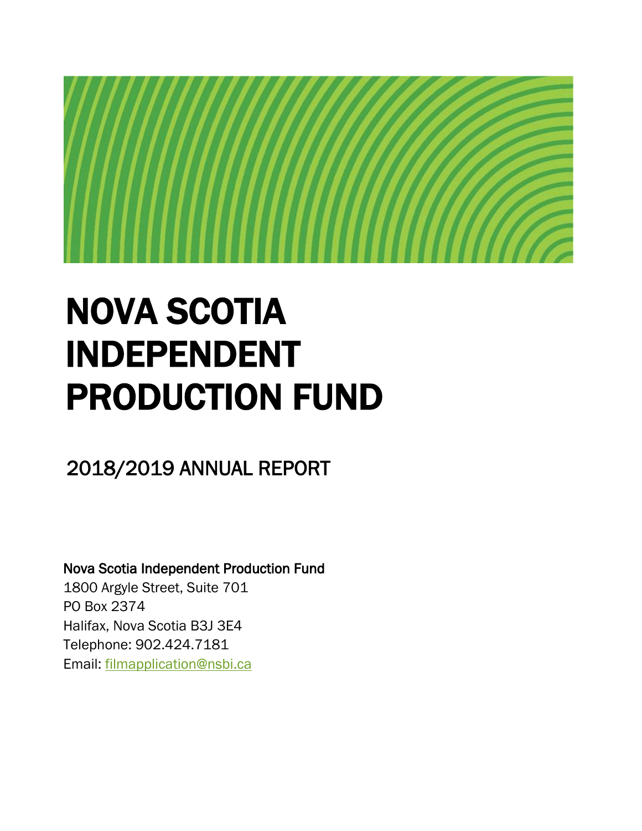

# NOVA SCOTIA INDEPENDENT PRODUCTION FUND

2018/2019 ANNUAL REPORT

 Nova Scotia Independent Production Fund 1800 Argyle Street, Suite 701 PO Box 2374 Halifax, Nova Scotia B3J 3E4 Telephone: 902.424.7181 Email: [filmapplication@nsbi.ca](mailto:filapplication@nsbi.ca)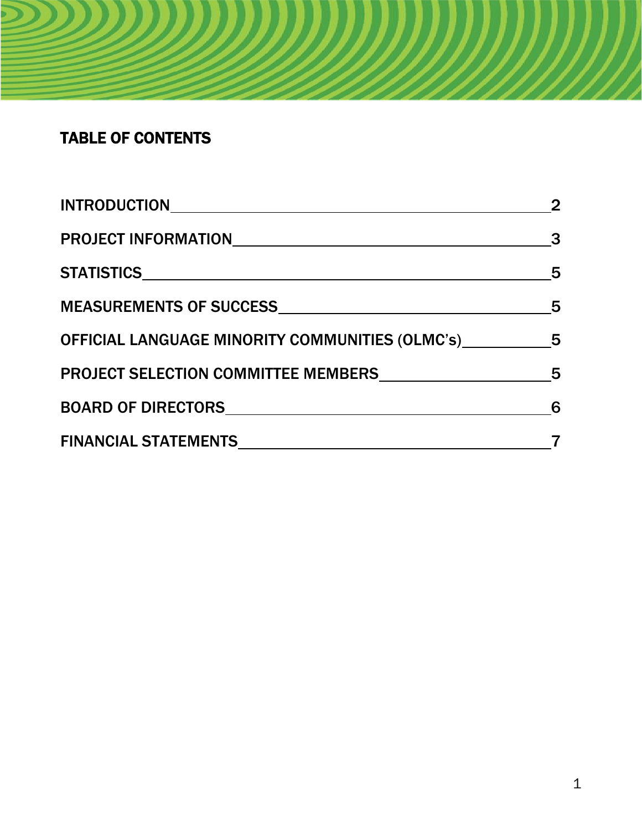### TABLE OF CONTENTS

|                                                                                                                                                                                                                                | $\overline{2}$          |
|--------------------------------------------------------------------------------------------------------------------------------------------------------------------------------------------------------------------------------|-------------------------|
| PROJECT INFORMATIONNNALLED AND THE RESERVE TO A REPORT OF THE RESERVE TO A REPORT OF THE RESERVE TO A REPORT OF THE RESERVE TO A REPORT OF THE REPORT OF THE REPORT OF THE REPORT OF THE REPORT OF THE REPORT OF THE REPORT OF | $\overline{\mathbf{3}}$ |
|                                                                                                                                                                                                                                | $-5$                    |
|                                                                                                                                                                                                                                | 5                       |
| OFFICIAL LANGUAGE MINORITY COMMUNITIES (OLMC's) ____________5                                                                                                                                                                  |                         |
|                                                                                                                                                                                                                                |                         |
|                                                                                                                                                                                                                                | 6                       |
|                                                                                                                                                                                                                                |                         |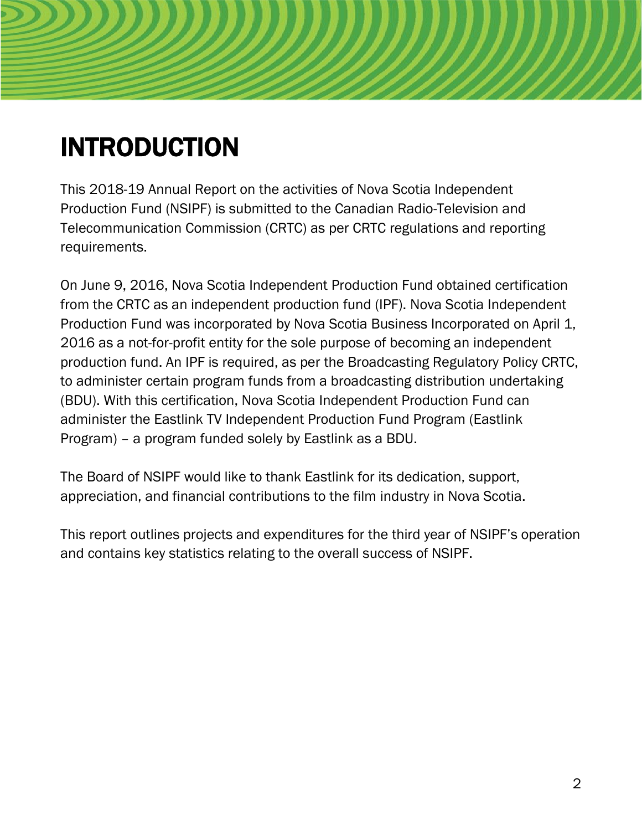# INTRODUCTION

This 2018-19 Annual Report on the activities of Nova Scotia Independent Production Fund (NSIPF) is submitted to the Canadian Radio-Television and Telecommunication Commission (CRTC) as per CRTC regulations and reporting requirements.

On June 9, 2016, Nova Scotia Independent Production Fund obtained certification from the CRTC as an independent production fund (IPF). Nova Scotia Independent Production Fund was incorporated by Nova Scotia Business Incorporated on April 1, 2016 as a not-for-profit entity for the sole purpose of becoming an independent production fund. An IPF is required, as per the Broadcasting Regulatory Policy CRTC, to administer certain program funds from a broadcasting distribution undertaking (BDU). With this certification, Nova Scotia Independent Production Fund can administer the Eastlink TV Independent Production Fund Program (Eastlink Program) – a program funded solely by Eastlink as a BDU.

The Board of NSIPF would like to thank Eastlink for its dedication, support, appreciation, and financial contributions to the film industry in Nova Scotia.

This report outlines projects and expenditures for the third year of NSIPF's operation and contains key statistics relating to the overall success of NSIPF.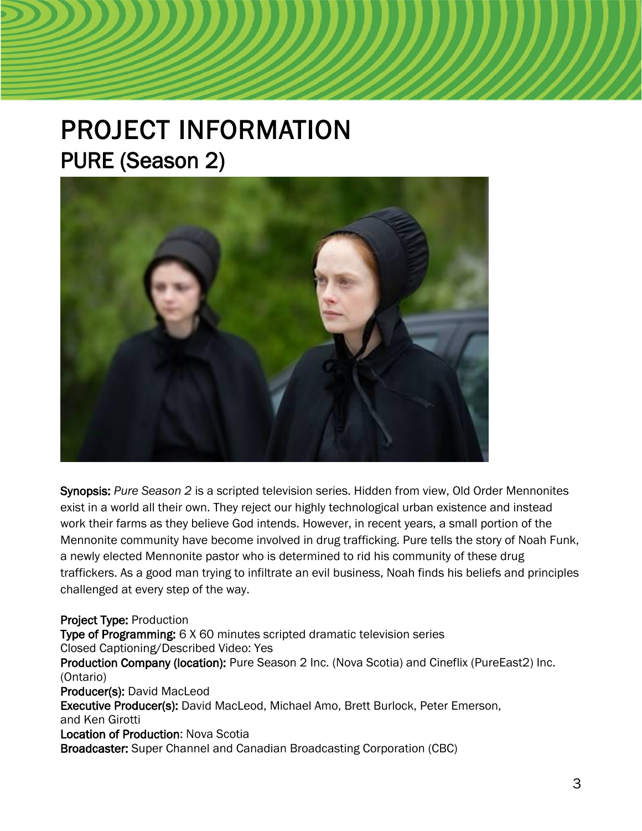## PROJECT INFORMATION PURE (Season 2)



Synopsis: *Pure Season 2* is a scripted television series. Hidden from view, Old Order Mennonites exist in a world all their own. They reject our highly technological urban existence and instead work their farms as they believe God intends. However, in recent years, a small portion of the Mennonite community have become involved in drug trafficking. Pure tells the story of Noah Funk, a newly elected Mennonite pastor who is determined to rid his community of these drug traffickers. As a good man trying to infiltrate an evil business, Noah finds his beliefs and principles challenged at every step of the way.

Project Type: Production Type of Programming: 6 X 60 minutes scripted dramatic television series Closed Captioning/Described Video: Yes Production Company (location): Pure Season 2 Inc. (Nova Scotia) and Cineflix (PureEast2) Inc. (Ontario) Producer(s): David MacLeod Executive Producer(s): David MacLeod, Michael Amo, Brett Burlock, Peter Emerson, and Ken Girotti Location of Production: Nova Scotia Broadcaster: Super Channel and Canadian Broadcasting Corporation (CBC)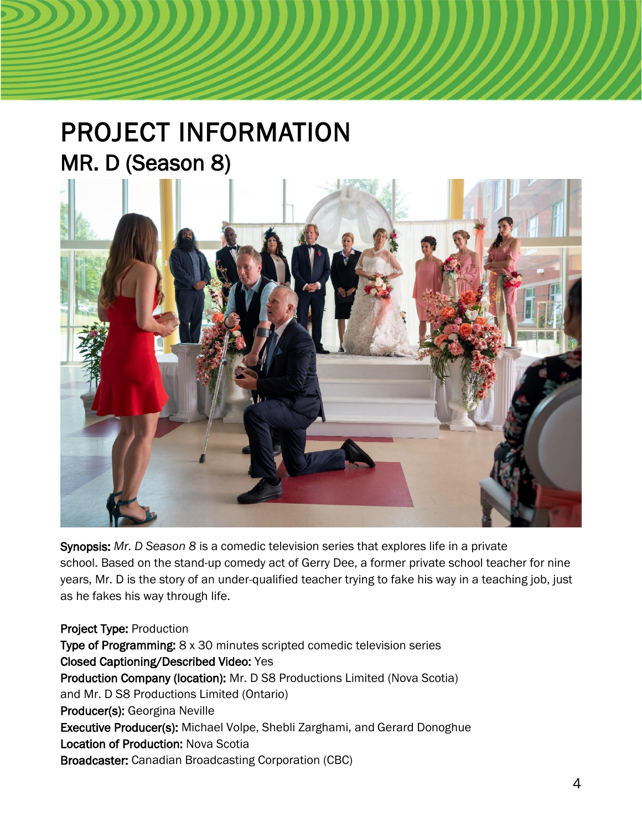# PROJECT INFORMATION MR. D (Season 8)



Synopsis: *Mr. D Season 8* is a comedic television series that explores life in a private school. Based on the stand-up comedy act of Gerry Dee, a former private school teacher for nine years, Mr. D is the story of an under-qualified teacher trying to fake his way in a teaching job, just as he fakes his way through life.

Project Type: Production Type of Programming: 8 x 30 minutes scripted comedic television series Closed Captioning/Described Video: Yes Production Company (location): Mr. D S8 Productions Limited (Nova Scotia) and Mr. D S8 Productions Limited (Ontario) Producer(s): Georgina Neville Executive Producer(s): Michael Volpe, Shebli Zarghami, and Gerard Donoghue Location of Production: Nova Scotia Broadcaster: Canadian Broadcasting Corporation (CBC)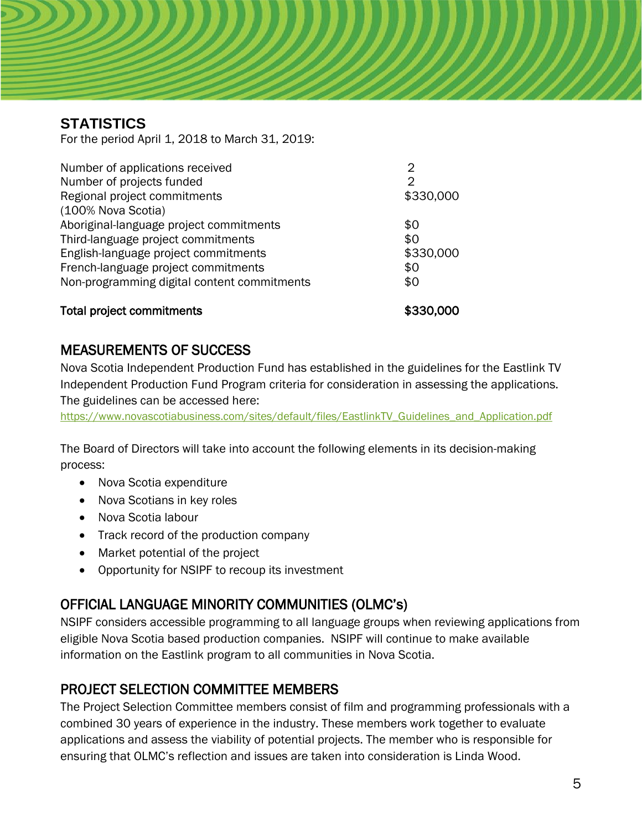#### **STATISTICS**

For the period April 1, 2018 to March 31, 2019:

| Number of applications received             | 2         |
|---------------------------------------------|-----------|
| Number of projects funded                   | 2         |
| Regional project commitments                | \$330,000 |
| (100% Nova Scotia)                          |           |
| Aboriginal-language project commitments     | \$0       |
| Third-language project commitments          | \$0       |
| English-language project commitments        | \$330,000 |
| French-language project commitments         | \$0       |
| Non-programming digital content commitments | \$0       |
| <b>Total project commitments</b>            | \$330,000 |

#### MEASUREMENTS OF SUCCESS

Nova Scotia Independent Production Fund has established in the guidelines for the Eastlink TV Independent Production Fund Program criteria for consideration in assessing the applications. The guidelines can be accessed here:

[https://www.novascotiabusiness.com/sites/default/files/EastlinkTV\\_Guidelines\\_and\\_Application.pdf](https://www.novascotiabusiness.com/sites/default/files/EastlinkTV_Guidelines_and_Application.pdf)

The Board of Directors will take into account the following elements in its decision-making process:

- Nova Scotia expenditure
- Nova Scotians in key roles
- Nova Scotia labour
- Track record of the production company
- Market potential of the project
- Opportunity for NSIPF to recoup its investment

#### OFFICIAL LANGUAGE MINORITY COMMUNITIES (OLMC's)

NSIPF considers accessible programming to all language groups when reviewing applications from eligible Nova Scotia based production companies. NSIPF will continue to make available information on the Eastlink program to all communities in Nova Scotia.

#### PROJECT SELECTION COMMITTEE MEMBERS

The Project Selection Committee members consist of film and programming professionals with a combined 30 years of experience in the industry. These members work together to evaluate applications and assess the viability of potential projects. The member who is responsible for ensuring that OLMC's reflection and issues are taken into consideration is Linda Wood.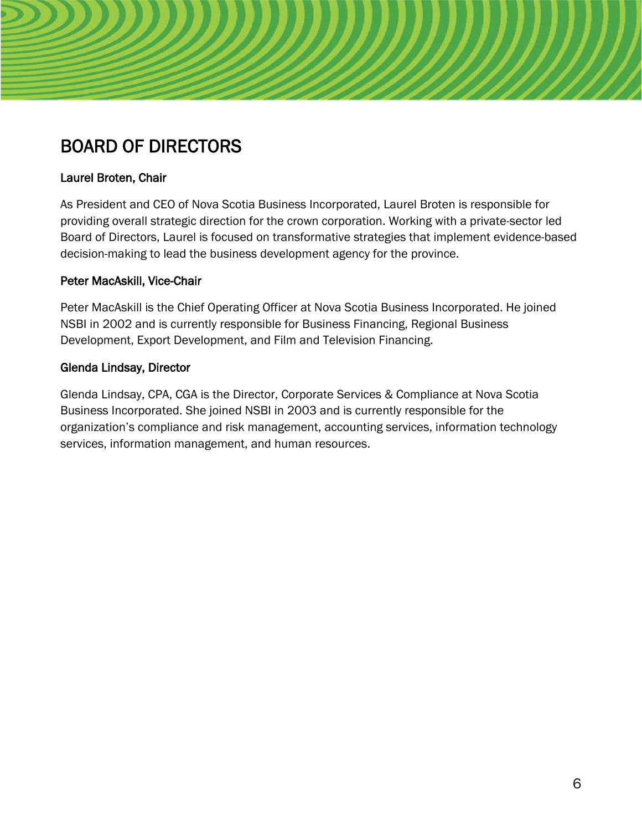### BOARD OF DIRECTORS

#### Laurel Broten, Chair

As President and CEO of Nova Scotia Business Incorporated, Laurel Broten is responsible for providing overall strategic direction for the crown corporation. Working with a private-sector led Board of Directors, Laurel is focused on transformative strategies that implement evidence-based decision-making to lead the business development agency for the province.

#### Peter MacAskill, Vice-Chair

Peter MacAskill is the Chief Operating Officer at Nova Scotia Business Incorporated. He joined NSBI in 2002 and is currently responsible for Business Financing, Regional Business Development, Export Development, and Film and Television Financing.

#### Glenda Lindsay, Director

Glenda Lindsay, CPA, CGA is the Director, Corporate Services & Compliance at Nova Scotia Business Incorporated. She joined NSBI in 2003 and is currently responsible for the organization's compliance and risk management, accounting services, information technology services, information management, and human resources.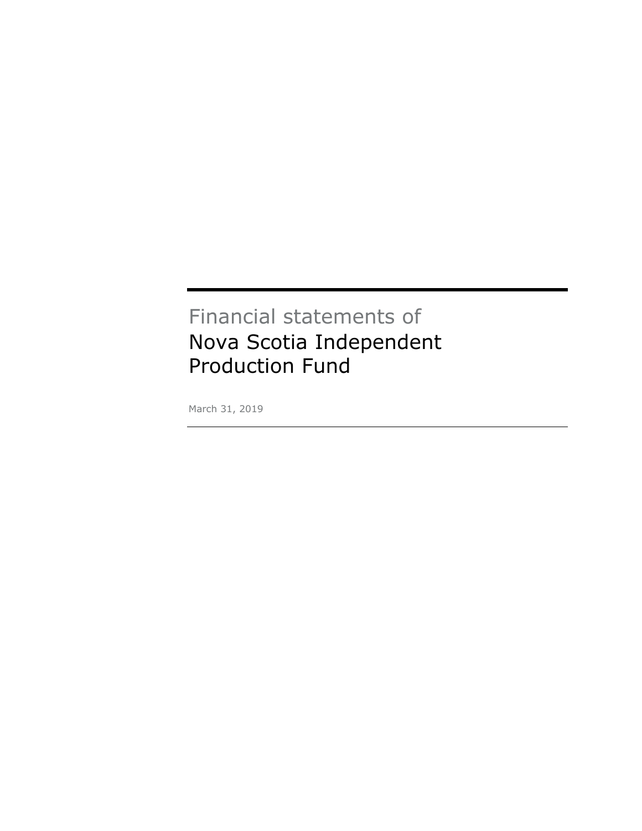## Financial statements of Nova Scotia Independent Production Fund

March 31, 2019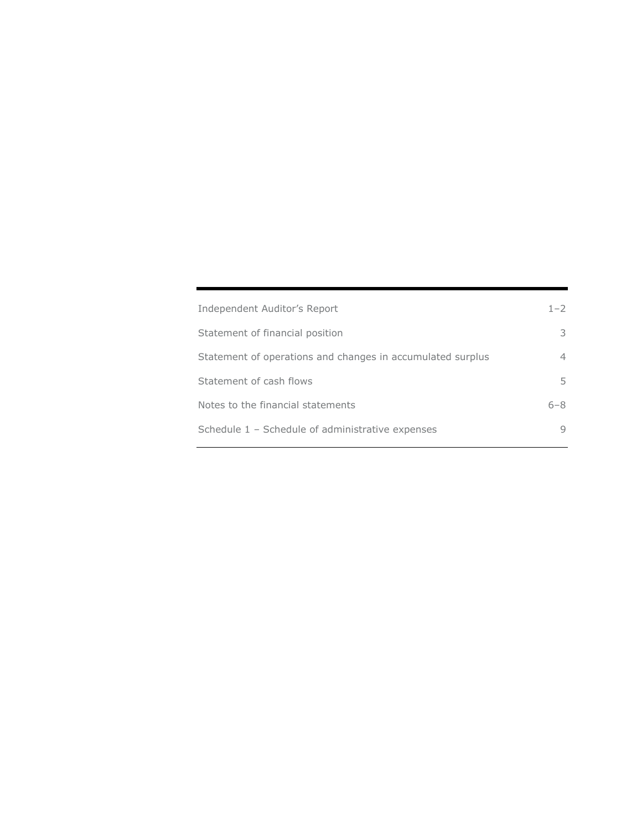| Independent Auditor's Report                               | $1 - 2$        |
|------------------------------------------------------------|----------------|
| Statement of financial position                            | 3              |
| Statement of operations and changes in accumulated surplus | $\overline{4}$ |
| Statement of cash flows                                    | 5.             |
| Notes to the financial statements                          | $6 - 8$        |
| Schedule 1 - Schedule of administrative expenses           | 9              |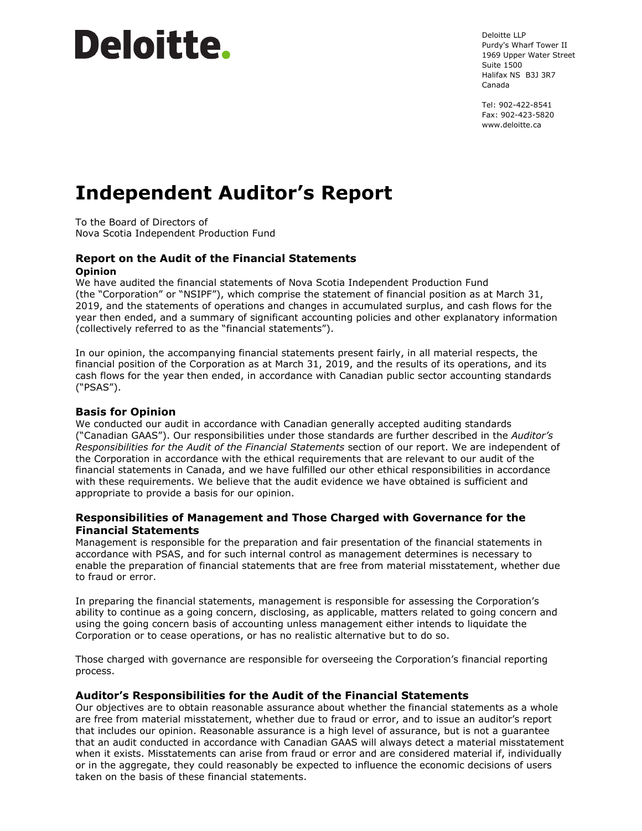# Deloitte.

Deloitte LLP Purdy's Wharf Tower II 1969 Upper Water Street Suite 1500 Halifax NS B3J 3R7 Canada

Tel: 902-422-8541 Fax: 902-423-5820 www.deloitte.ca

## **Independent Auditor's Report**

To the Board of Directors of Nova Scotia Independent Production Fund

#### **Report on the Audit of the Financial Statements Opinion**

We have audited the financial statements of Nova Scotia Independent Production Fund (the "Corporation" or "NSIPF"), which comprise the statement of financial position as at March 31, 2019, and the statements of operations and changes in accumulated surplus, and cash flows for the year then ended, and a summary of significant accounting policies and other explanatory information (collectively referred to as the "financial statements").

In our opinion, the accompanying financial statements present fairly, in all material respects, the financial position of the Corporation as at March 31, 2019, and the results of its operations, and its cash flows for the year then ended, in accordance with Canadian public sector accounting standards ("PSAS").

#### **Basis for Opinion**

We conducted our audit in accordance with Canadian generally accepted auditing standards ("Canadian GAAS"). Our responsibilities under those standards are further described in the *Auditor's Responsibilities for the Audit of the Financial Statements* section of our report. We are independent of the Corporation in accordance with the ethical requirements that are relevant to our audit of the financial statements in Canada, and we have fulfilled our other ethical responsibilities in accordance with these requirements. We believe that the audit evidence we have obtained is sufficient and appropriate to provide a basis for our opinion.

#### **Responsibilities of Management and Those Charged with Governance for the Financial Statements**

Management is responsible for the preparation and fair presentation of the financial statements in accordance with PSAS, and for such internal control as management determines is necessary to enable the preparation of financial statements that are free from material misstatement, whether due to fraud or error.

In preparing the financial statements, management is responsible for assessing the Corporation's ability to continue as a going concern, disclosing, as applicable, matters related to going concern and using the going concern basis of accounting unless management either intends to liquidate the Corporation or to cease operations, or has no realistic alternative but to do so.

Those charged with governance are responsible for overseeing the Corporation's financial reporting process.

#### **Auditor's Responsibilities for the Audit of the Financial Statements**

Our objectives are to obtain reasonable assurance about whether the financial statements as a whole are free from material misstatement, whether due to fraud or error, and to issue an auditor's report that includes our opinion. Reasonable assurance is a high level of assurance, but is not a guarantee that an audit conducted in accordance with Canadian GAAS will always detect a material misstatement when it exists. Misstatements can arise from fraud or error and are considered material if, individually or in the aggregate, they could reasonably be expected to influence the economic decisions of users taken on the basis of these financial statements.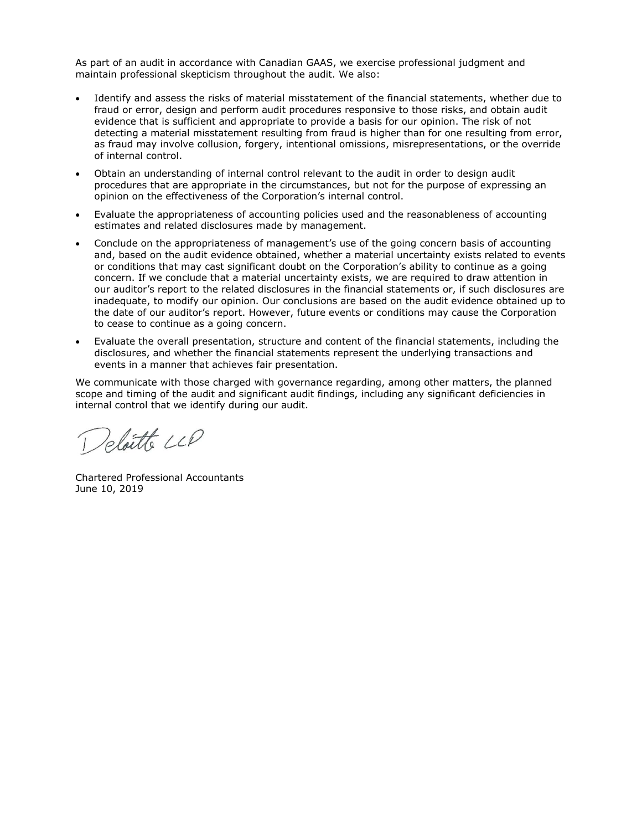As part of an audit in accordance with Canadian GAAS, we exercise professional judgment and maintain professional skepticism throughout the audit. We also:

- Identify and assess the risks of material misstatement of the financial statements, whether due to fraud or error, design and perform audit procedures responsive to those risks, and obtain audit evidence that is sufficient and appropriate to provide a basis for our opinion. The risk of not detecting a material misstatement resulting from fraud is higher than for one resulting from error, as fraud may involve collusion, forgery, intentional omissions, misrepresentations, or the override of internal control.
- Obtain an understanding of internal control relevant to the audit in order to design audit procedures that are appropriate in the circumstances, but not for the purpose of expressing an opinion on the effectiveness of the Corporation's internal control.
- Evaluate the appropriateness of accounting policies used and the reasonableness of accounting estimates and related disclosures made by management.
- Conclude on the appropriateness of management's use of the going concern basis of accounting and, based on the audit evidence obtained, whether a material uncertainty exists related to events or conditions that may cast significant doubt on the Corporation's ability to continue as a going concern. If we conclude that a material uncertainty exists, we are required to draw attention in our auditor's report to the related disclosures in the financial statements or, if such disclosures are inadequate, to modify our opinion. Our conclusions are based on the audit evidence obtained up to the date of our auditor's report. However, future events or conditions may cause the Corporation to cease to continue as a going concern.
- Evaluate the overall presentation, structure and content of the financial statements, including the disclosures, and whether the financial statements represent the underlying transactions and events in a manner that achieves fair presentation.

We communicate with those charged with governance regarding, among other matters, the planned scope and timing of the audit and significant audit findings, including any significant deficiencies in internal control that we identify during our audit.

Polaitte LCD

Chartered Professional Accountants June 10, 2019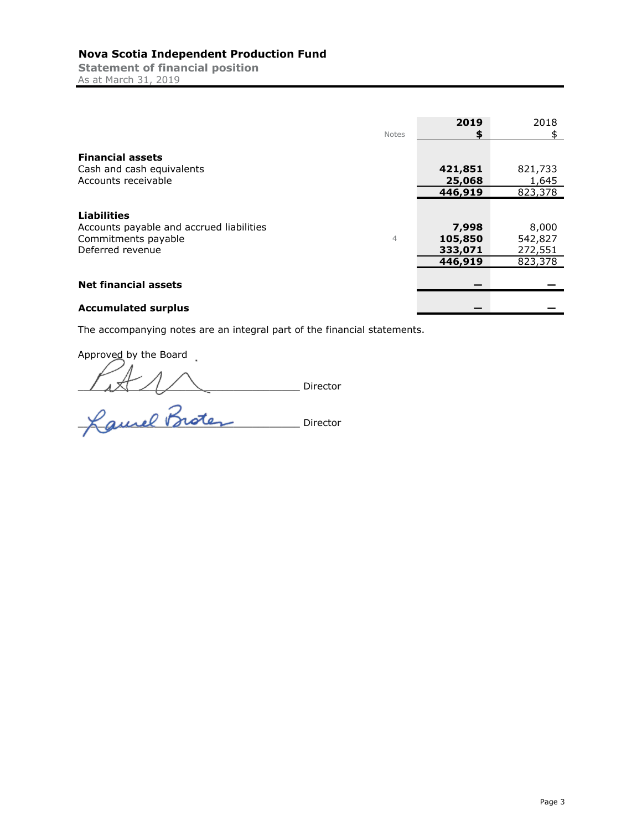**Statement of financial position** As at March 31, 2019

|                                                                                                           | <b>Notes</b>   | 2019                                   | 2018                                   |
|-----------------------------------------------------------------------------------------------------------|----------------|----------------------------------------|----------------------------------------|
| <b>Financial assets</b><br>Cash and cash equivalents<br>Accounts receivable                               |                | 421,851<br>25,068                      | 821,733<br>1,645                       |
|                                                                                                           |                | 446,919                                | 823,378                                |
| <b>Liabilities</b><br>Accounts payable and accrued liabilities<br>Commitments payable<br>Deferred revenue | $\overline{4}$ | 7,998<br>105,850<br>333,071<br>446,919 | 8,000<br>542,827<br>272,551<br>823,378 |
| <b>Net financial assets</b>                                                                               |                |                                        |                                        |
| <b>Accumulated surplus</b>                                                                                |                |                                        |                                        |

The accompanying notes are an integral part of the financial statements.

Approved by the Board

 $\bigcup_{\mathcal{A}} \bigotimes \bigcup \bigotimes$  Director

 $X$  aurel drover Director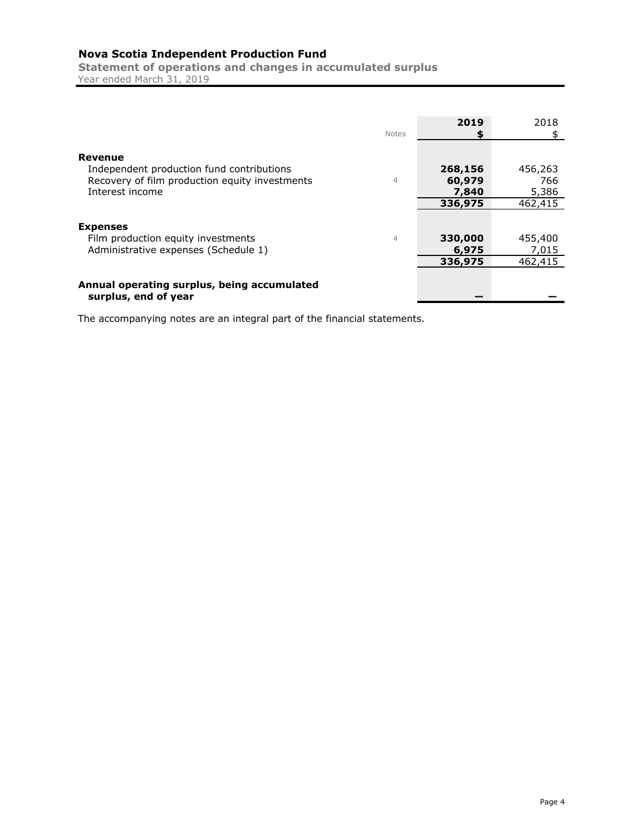**Statement of operations and changes in accumulated surplus** Year ended March 31, 2019

|                                                                                                        | <b>Notes</b> | 2019                        | 2018                        |
|--------------------------------------------------------------------------------------------------------|--------------|-----------------------------|-----------------------------|
| Revenue<br>Independent production fund contributions<br>Recovery of film production equity investments | 4            | 268,156<br>60,979           | 456,263<br>766              |
| Interest income                                                                                        |              | 7,840<br>336,975            | 5,386<br>462,415            |
| <b>Expenses</b><br>Film production equity investments<br>Administrative expenses (Schedule 1)          | 4            | 330,000<br>6,975<br>336,975 | 455,400<br>7,015<br>462,415 |
| Annual operating surplus, being accumulated<br>surplus, end of year                                    |              |                             |                             |

The accompanying notes are an integral part of the financial statements.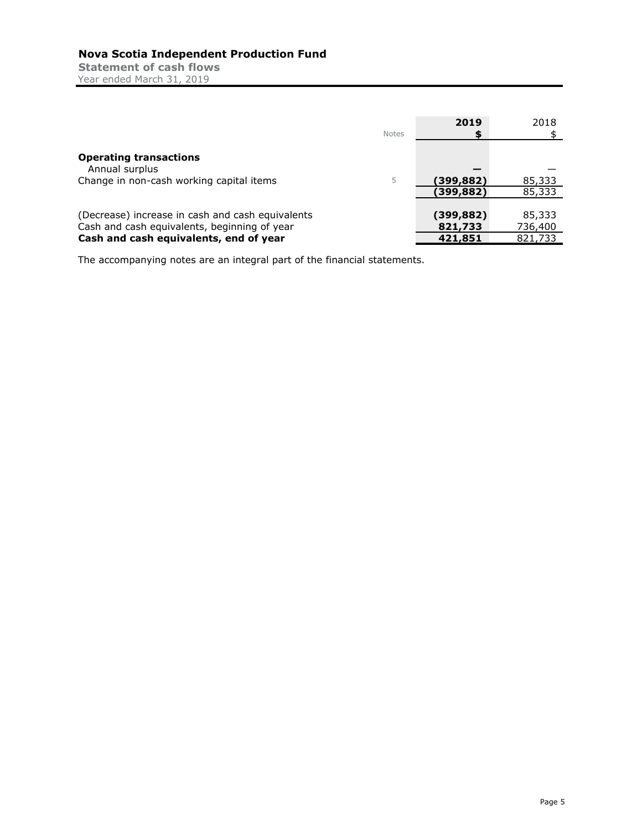**Statement of cash flows** Year ended March 31, 2019

|                                                  |              | 2019       | 2018    |
|--------------------------------------------------|--------------|------------|---------|
|                                                  | <b>Notes</b> |            |         |
| <b>Operating transactions</b>                    |              |            |         |
| Annual surplus                                   |              |            |         |
| Change in non-cash working capital items         | 5            | (399,882)  | 85,333  |
|                                                  |              | (399,882)  | 85,333  |
|                                                  |              |            |         |
| (Decrease) increase in cash and cash equivalents |              | (399, 882) | 85,333  |
| Cash and cash equivalents, beginning of year     |              | 821,733    | 736,400 |
| Cash and cash equivalents, end of year           |              | 421,851    | 821,733 |

The accompanying notes are an integral part of the financial statements.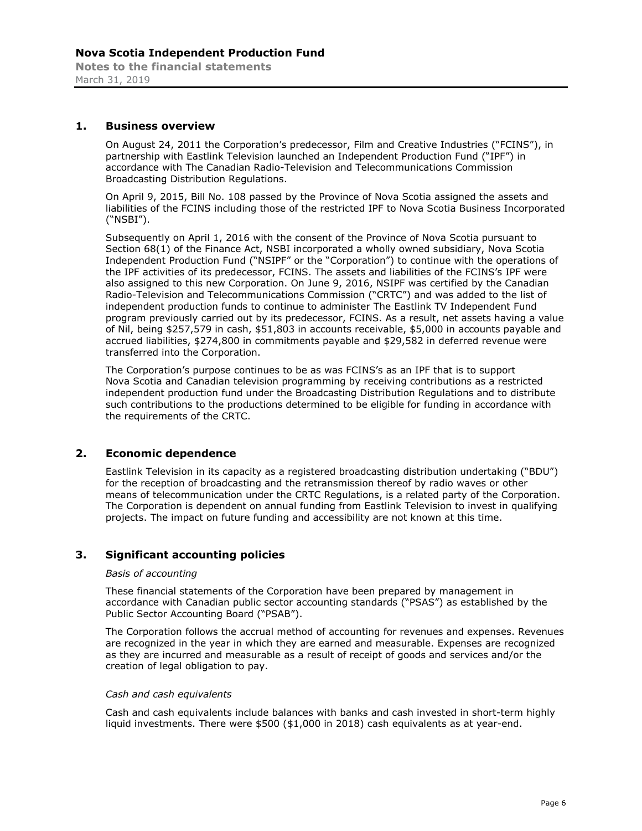#### **1. Business overview**

On August 24, 2011 the Corporation's predecessor, Film and Creative Industries ("FCINS"), in partnership with Eastlink Television launched an Independent Production Fund ("IPF") in accordance with The Canadian Radio-Television and Telecommunications Commission Broadcasting Distribution Regulations.

On April 9, 2015, Bill No. 108 passed by the Province of Nova Scotia assigned the assets and liabilities of the FCINS including those of the restricted IPF to Nova Scotia Business Incorporated ("NSBI").

Subsequently on April 1, 2016 with the consent of the Province of Nova Scotia pursuant to Section 68(1) of the Finance Act, NSBI incorporated a wholly owned subsidiary, Nova Scotia Independent Production Fund ("NSIPF" or the "Corporation") to continue with the operations of the IPF activities of its predecessor, FCINS. The assets and liabilities of the FCINS's IPF were also assigned to this new Corporation. On June 9, 2016, NSIPF was certified by the Canadian Radio-Television and Telecommunications Commission ("CRTC") and was added to the list of independent production funds to continue to administer The Eastlink TV Independent Fund program previously carried out by its predecessor, FCINS. As a result, net assets having a value of Nil, being \$257,579 in cash, \$51,803 in accounts receivable, \$5,000 in accounts payable and accrued liabilities, \$274,800 in commitments payable and \$29,582 in deferred revenue were transferred into the Corporation.

The Corporation's purpose continues to be as was FCINS's as an IPF that is to support Nova Scotia and Canadian television programming by receiving contributions as a restricted independent production fund under the Broadcasting Distribution Regulations and to distribute such contributions to the productions determined to be eligible for funding in accordance with the requirements of the CRTC.

#### **2. Economic dependence**

Eastlink Television in its capacity as a registered broadcasting distribution undertaking ("BDU") for the reception of broadcasting and the retransmission thereof by radio waves or other means of telecommunication under the CRTC Regulations, is a related party of the Corporation. The Corporation is dependent on annual funding from Eastlink Television to invest in qualifying projects. The impact on future funding and accessibility are not known at this time.

#### **3. Significant accounting policies**

#### *Basis of accounting*

These financial statements of the Corporation have been prepared by management in accordance with Canadian public sector accounting standards ("PSAS") as established by the Public Sector Accounting Board ("PSAB").

The Corporation follows the accrual method of accounting for revenues and expenses. Revenues are recognized in the year in which they are earned and measurable. Expenses are recognized as they are incurred and measurable as a result of receipt of goods and services and/or the creation of legal obligation to pay.

#### *Cash and cash equivalents*

Cash and cash equivalents include balances with banks and cash invested in short-term highly liquid investments. There were \$500 (\$1,000 in 2018) cash equivalents as at year-end.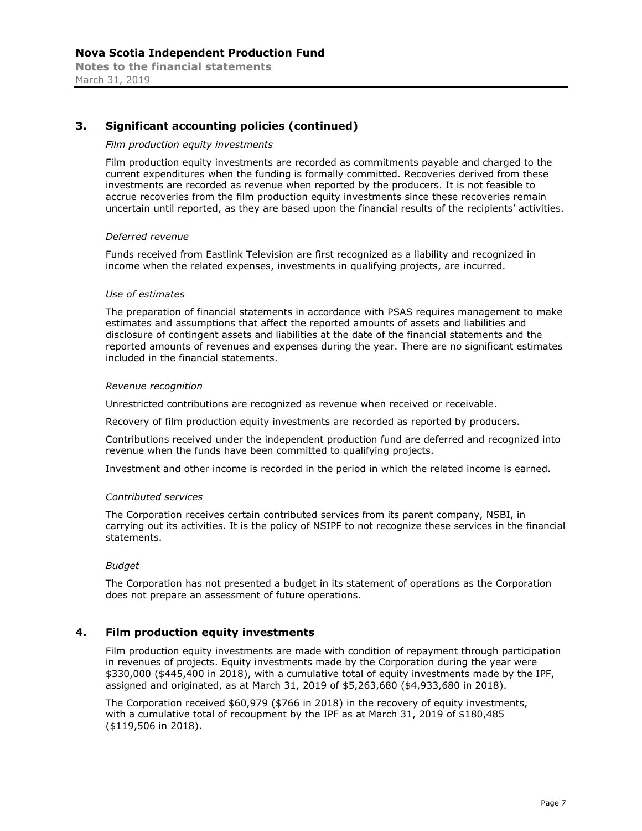#### **3. Significant accounting policies (continued)**

#### *Film production equity investments*

Film production equity investments are recorded as commitments payable and charged to the current expenditures when the funding is formally committed. Recoveries derived from these investments are recorded as revenue when reported by the producers. It is not feasible to accrue recoveries from the film production equity investments since these recoveries remain uncertain until reported, as they are based upon the financial results of the recipients' activities.

#### *Deferred revenue*

Funds received from Eastlink Television are first recognized as a liability and recognized in income when the related expenses, investments in qualifying projects, are incurred.

#### *Use of estimates*

The preparation of financial statements in accordance with PSAS requires management to make estimates and assumptions that affect the reported amounts of assets and liabilities and disclosure of contingent assets and liabilities at the date of the financial statements and the reported amounts of revenues and expenses during the year. There are no significant estimates included in the financial statements.

#### *Revenue recognition*

Unrestricted contributions are recognized as revenue when received or receivable.

Recovery of film production equity investments are recorded as reported by producers.

Contributions received under the independent production fund are deferred and recognized into revenue when the funds have been committed to qualifying projects.

Investment and other income is recorded in the period in which the related income is earned.

#### *Contributed services*

The Corporation receives certain contributed services from its parent company, NSBI, in carrying out its activities. It is the policy of NSIPF to not recognize these services in the financial statements.

#### *Budget*

The Corporation has not presented a budget in its statement of operations as the Corporation does not prepare an assessment of future operations.

#### **4. Film production equity investments**

Film production equity investments are made with condition of repayment through participation in revenues of projects. Equity investments made by the Corporation during the year were \$330,000 (\$445,400 in 2018), with a cumulative total of equity investments made by the IPF, assigned and originated, as at March 31, 2019 of \$5,263,680 (\$4,933,680 in 2018).

The Corporation received \$60,979 (\$766 in 2018) in the recovery of equity investments, with a cumulative total of recoupment by the IPF as at March 31, 2019 of \$180,485 (\$119,506 in 2018).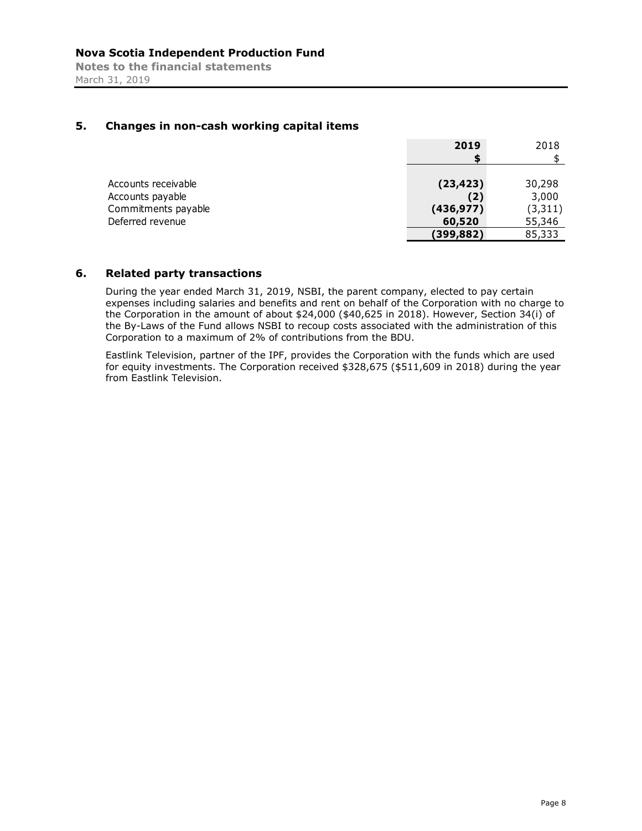#### **5. Changes in non-cash working capital items**

|                     | 2019       | 2018    |
|---------------------|------------|---------|
|                     |            |         |
|                     |            |         |
| Accounts receivable | (23, 423)  | 30,298  |
| Accounts payable    | (2)        | 3,000   |
| Commitments payable | (436, 977) | (3,311) |
| Deferred revenue    | 60,520     | 55,346  |
|                     | (399,882)  | 85,333  |

#### **6. Related party transactions**

During the year ended March 31, 2019, NSBI, the parent company, elected to pay certain expenses including salaries and benefits and rent on behalf of the Corporation with no charge to the Corporation in the amount of about \$24,000 (\$40,625 in 2018). However, Section 34(i) of the By-Laws of the Fund allows NSBI to recoup costs associated with the administration of this Corporation to a maximum of 2% of contributions from the BDU.

Eastlink Television, partner of the IPF, provides the Corporation with the funds which are used for equity investments. The Corporation received \$328,675 (\$511,609 in 2018) during the year from Eastlink Television.